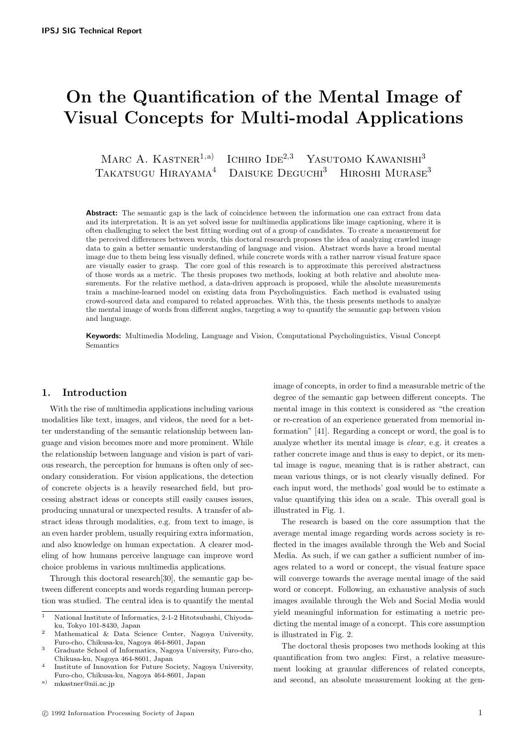# On the Quantification of the Mental Image of Visual Concepts for Multi-modal Applications

MARC A. KASTNER<sup>1,a)</sup> ICHIRO IDE<sup>2,3</sup> YASUTOMO KAWANISHI<sup>3</sup> TAKATSUGU HIRAYAMA<sup>4</sup> DAISUKE DEGUCHI<sup>3</sup> HIROSHI MURASE<sup>3</sup>

**Abstract:** The semantic gap is the lack of coincidence between the information one can extract from data and its interpretation. It is an yet solved issue for multimedia applications like image captioning, where it is often challenging to select the best fitting wording out of a group of candidates. To create a measurement for the perceived differences between words, this doctoral research proposes the idea of analyzing crawled image data to gain a better semantic understanding of language and vision. Abstract words have a broad mental image due to them being less visually defined, while concrete words with a rather narrow visual feature space are visually easier to grasp. The core goal of this research is to approximate this perceived abstractness of those words as a metric. The thesis proposes two methods, looking at both relative and absolute measurements. For the relative method, a data-driven approach is proposed, while the absolute measurements train a machine-learned model on existing data from Psycholinguistics. Each method is evaluated using crowd-sourced data and compared to related approaches. With this, the thesis presents methods to analyze the mental image of words from different angles, targeting a way to quantify the semantic gap between vision and language.

Keywords: Multimedia Modeling, Language and Vision, Computational Psycholinguistics, Visual Concept Semantics

# 1. Introduction

With the rise of multimedia applications including various modalities like text, images, and videos, the need for a better understanding of the semantic relationship between language and vision becomes more and more prominent. While the relationship between language and vision is part of various research, the perception for humans is often only of secondary consideration. For vision applications, the detection of concrete objects is a heavily researched field, but processing abstract ideas or concepts still easily causes issues, producing unnatural or unexpected results. A transfer of abstract ideas through modalities, e.g. from text to image, is an even harder problem, usually requiring extra information, and also knowledge on human expectation. A clearer modeling of how humans perceive language can improve word choice problems in various multimedia applications.

Through this doctoral research[30], the semantic gap between different concepts and words regarding human perception was studied. The central idea is to quantify the mental

a) mkastner@nii.ac.jp

image of concepts, in order to find a measurable metric of the degree of the semantic gap between different concepts. The mental image in this context is considered as "the creation or re-creation of an experience generated from memorial information" [41]. Regarding a concept or word, the goal is to analyze whether its mental image is clear, e.g. it creates a rather concrete image and thus is easy to depict, or its mental image is vague, meaning that is is rather abstract, can mean various things, or is not clearly visually defined. For each input word, the methods' goal would be to estimate a value quantifying this idea on a scale. This overall goal is illustrated in Fig. 1.

The research is based on the core assumption that the average mental image regarding words across society is reflected in the images available through the Web and Social Media. As such, if we can gather a sufficient number of images related to a word or concept, the visual feature space will converge towards the average mental image of the said word or concept. Following, an exhaustive analysis of such images available through the Web and Social Media would yield meaningful information for estimating a metric predicting the mental image of a concept. This core assumption is illustrated in Fig. 2.

The doctoral thesis proposes two methods looking at this quantification from two angles: First, a relative measurement looking at granular differences of related concepts, and second, an absolute measurement looking at the gen-

<sup>1</sup> National Institute of Informatics, 2-1-2 Hitotsubashi, Chiyodaku, Tokyo 101-8430, Japan

<sup>2</sup> Mathematical & Data Science Center, Nagoya University, Furo-cho, Chikusa-ku, Nagoya 464-8601, Japan

<sup>3</sup> Graduate School of Informatics, Nagoya University, Furo-cho, Chikusa-ku, Nagoya 464-8601, Japan

<sup>4</sup> Institute of Innovation for Future Society, Nagoya University, Furo-cho, Chikusa-ku, Nagoya 464-8601, Japan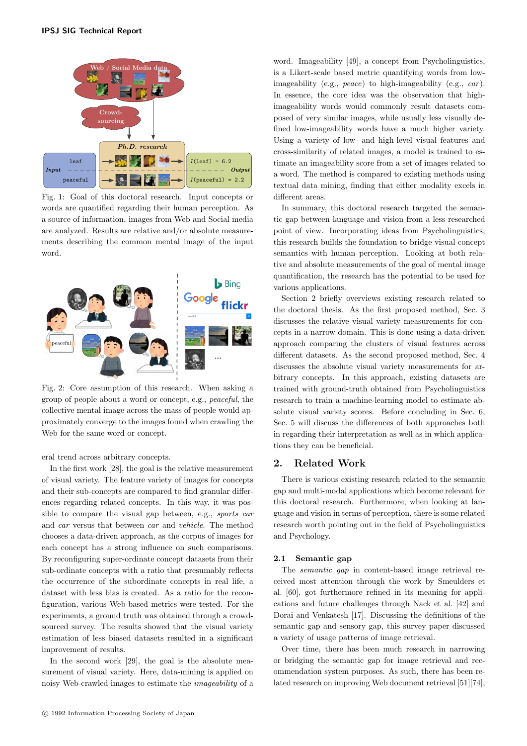

Fig. 1: Goal of this doctoral research. Input concepts or words are quantified regarding their human perception. As a source of information, images from Web and Social media are analyzed. Results are relative and/or absolute measurements describing the common mental image of the input word.



Fig. 2: Core assumption of this research. When asking a group of people about a word or concept, e.g., peaceful, the collective mental image across the mass of people would approximately converge to the images found when crawling the Web for the same word or concept.

eral trend across arbitrary concepts.

In the first work [28], the goal is the relative measurement of visual variety. The feature variety of images for concepts and their sub-concepts are compared to find granular differences regarding related concepts. In this way, it was possible to compare the visual gap between, e.g., sports car and car versus that between car and vehicle. The method chooses a data-driven approach, as the corpus of images for each concept has a strong influence on such comparisons. By reconfiguring super-ordinate concept datasets from their sub-ordinate concepts with a ratio that presumably reflects the occurrence of the subordinate concepts in real life, a dataset with less bias is created. As a ratio for the reconfiguration, various Web-based metrics were tested. For the experiments, a ground truth was obtained through a crowdsourced survey. The results showed that the visual variety estimation of less biased datasets resulted in a significant improvement of results.

In the second work [29], the goal is the absolute measurement of visual variety. Here, data-mining is applied on noisy Web-crawled images to estimate the imageability of a

c 1992 Information Processing Society of Japan

word. Imageability [49], a concept from Psycholinguistics, is a Likert-scale based metric quantifying words from lowimageability (e.g., *peace*) to high-imageability (e.g., *car*). In essence, the core idea was the observation that highimageability words would commonly result datasets composed of very similar images, while usually less visually defined low-imageability words have a much higher variety. Using a variety of low- and high-level visual features and cross-similarity of related images, a model is trained to estimate an imageability score from a set of images related to a word. The method is compared to existing methods using textual data mining, finding that either modality excels in different areas.

In summary, this doctoral research targeted the semantic gap between language and vision from a less researched point of view. Incorporating ideas from Psycholinguistics, this research builds the foundation to bridge visual concept semantics with human perception. Looking at both relative and absolute measurements of the goal of mental image quantification, the research has the potential to be used for various applications.

Section 2 briefly overviews existing research related to the doctoral thesis. As the first proposed method, Sec. 3 discusses the relative visual variety measurements for concepts in a narrow domain. This is done using a data-driven approach comparing the clusters of visual features across different datasets. As the second proposed method, Sec. 4 discusses the absolute visual variety measurements for arbitrary concepts. In this approach, existing datasets are trained with ground-truth obtained from Psycholinguistics research to train a machine-learning model to estimate absolute visual variety scores. Before concluding in Sec. 6, Sec. 5 will discuss the differences of both approaches both in regarding their interpretation as well as in which applications they can be beneficial.

# 2. Related Work

There is various existing research related to the semantic gap and multi-modal applications which become relevant for this doctoral research. Furthermore, when looking at language and vision in terms of perception, there is some related research worth pointing out in the field of Psycholinguistics and Psychology.

#### 2.1 Semantic gap

The semantic gap in content-based image retrieval received most attention through the work by Smeulders et al. [60], got furthermore refined in its meaning for applications and future challenges through Nack et al. [42] and Dorai and Venkatesh [17]. Discussing the definitions of the semantic gap and sensory gap, this survey paper discussed a variety of usage patterns of image retrieval.

Over time, there has been much research in narrowing or bridging the semantic gap for image retrieval and recommendation system purposes. As such, there has been related research on improving Web document retrieval [51][74],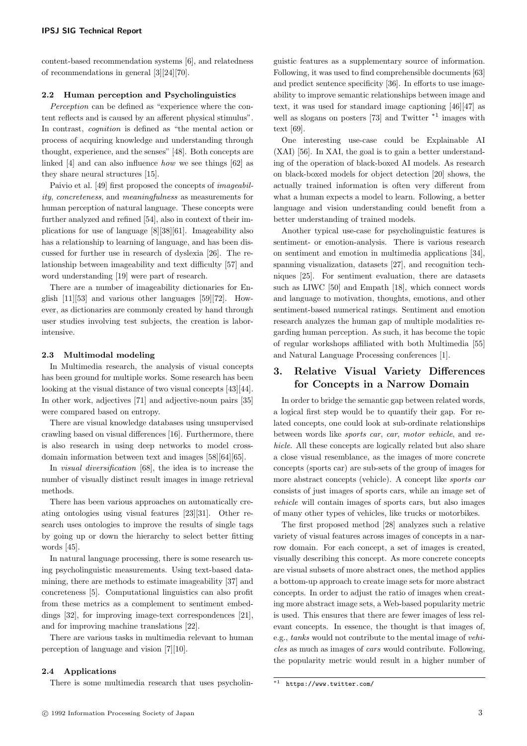content-based recommendation systems [6], and relatedness of recommendations in general [3][24][70].

### 2.2 Human perception and Psycholinguistics

Perception can be defined as "experience where the content reflects and is caused by an afferent physical stimulus". In contrast, *cognition* is defined as "the mental action or process of acquiring knowledge and understanding through thought, experience, and the senses" [48]. Both concepts are linked [4] and can also influence how we see things [62] as they share neural structures [15].

Paivio et al. [49] first proposed the concepts of imageability, concreteness, and meaningfulness as measurements for human perception of natural language. These concepts were further analyzed and refined [54], also in context of their implications for use of language [8][38][61]. Imageability also has a relationship to learning of language, and has been discussed for further use in research of dyslexia [26]. The relationship between imageability and text difficulty [57] and word understanding [19] were part of research.

There are a number of imageability dictionaries for English [11][53] and various other languages [59][72]. However, as dictionaries are commonly created by hand through user studies involving test subjects, the creation is laborintensive.

### 2.3 Multimodal modeling

In Multimedia research, the analysis of visual concepts has been ground for multiple works. Some research has been looking at the visual distance of two visual concepts [43][44]. In other work, adjectives [71] and adjective-noun pairs [35] were compared based on entropy.

There are visual knowledge databases using unsupervised crawling based on visual differences [16]. Furthermore, there is also research in using deep networks to model crossdomain information between text and images [58][64][65].

In *visual diversification* [68], the idea is to increase the number of visually distinct result images in image retrieval methods.

There has been various approaches on automatically creating ontologies using visual features [23][31]. Other research uses ontologies to improve the results of single tags by going up or down the hierarchy to select better fitting words [45].

In natural language processing, there is some research using psycholinguistic measurements. Using text-based datamining, there are methods to estimate imageability [37] and concreteness [5]. Computational linguistics can also profit from these metrics as a complement to sentiment embeddings [32], for improving image-text correspondences [21], and for improving machine translations [22].

There are various tasks in multimedia relevant to human perception of language and vision [7][10].

#### 2.4 Applications

There is some multimedia research that uses psycholin-

guistic features as a supplementary source of information. Following, it was used to find comprehensible documents [63] and predict sentence specificity [36]. In efforts to use imageability to improve semantic relationships between image and text, it was used for standard image captioning [46][47] as well as slogans on posters [73] and Twitter  $*1$  images with text [69].

One interesting use-case could be Explainable AI (XAI) [56]. In XAI, the goal is to gain a better understanding of the operation of black-boxed AI models. As research on black-boxed models for object detection [20] shows, the actually trained information is often very different from what a human expects a model to learn. Following, a better language and vision understanding could benefit from a better understanding of trained models.

Another typical use-case for psycholinguistic features is sentiment- or emotion-analysis. There is various research on sentiment and emotion in multimedia applications [34], spanning visualization, datasets [27], and recognition techniques [25]. For sentiment evaluation, there are datasets such as LIWC [50] and Empath [18], which connect words and language to motivation, thoughts, emotions, and other sentiment-based numerical ratings. Sentiment and emotion research analyzes the human gap of multiple modalities regarding human perception. As such, it has become the topic of regular workshops affiliated with both Multimedia [55] and Natural Language Processing conferences [1].

# 3. Relative Visual Variety Differences for Concepts in a Narrow Domain

In order to bridge the semantic gap between related words, a logical first step would be to quantify their gap. For related concepts, one could look at sub-ordinate relationships between words like sports car, car, motor vehicle, and vehicle. All these concepts are logically related but also share a close visual resemblance, as the images of more concrete concepts (sports car) are sub-sets of the group of images for more abstract concepts (vehicle). A concept like sports car consists of just images of sports cars, while an image set of vehicle will contain images of sports cars, but also images of many other types of vehicles, like trucks or motorbikes.

The first proposed method [28] analyzes such a relative variety of visual features across images of concepts in a narrow domain. For each concept, a set of images is created, visually describing this concept. As more concrete concepts are visual subsets of more abstract ones, the method applies a bottom-up approach to create image sets for more abstract concepts. In order to adjust the ratio of images when creating more abstract image sets, a Web-based popularity metric is used. This ensures that there are fewer images of less relevant concepts. In essence, the thought is that images of, e.g., tanks would not contribute to the mental image of vehicles as much as images of cars would contribute. Following, the popularity metric would result in a higher number of

<sup>\*1</sup> https://www.twitter.com/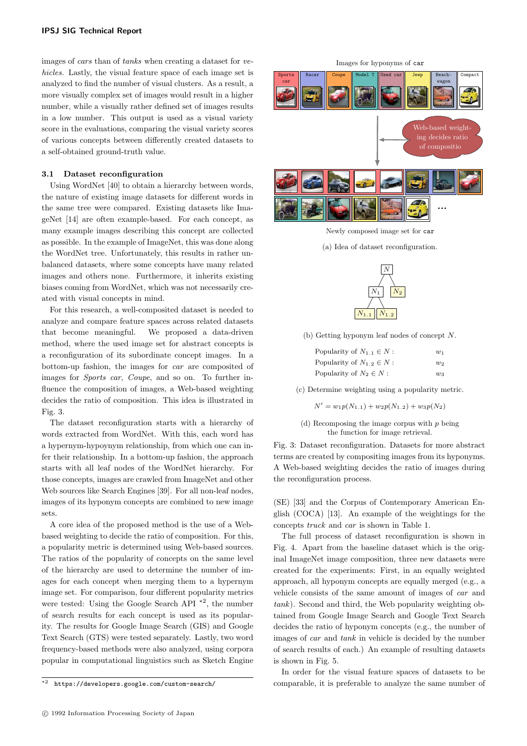images of cars than of tanks when creating a dataset for vehicles. Lastly, the visual feature space of each image set is analyzed to find the number of visual clusters. As a result, a more visually complex set of images would result in a higher number, while a visually rather defined set of images results in a low number. This output is used as a visual variety score in the evaluations, comparing the visual variety scores of various concepts between differently created datasets to a self-obtained ground-truth value.

# 3.1 Dataset reconfiguration

Using WordNet [40] to obtain a hierarchy between words, the nature of existing image datasets for different words in the same tree were compared. Existing datasets like ImageNet [14] are often example-based. For each concept, as many example images describing this concept are collected as possible. In the example of ImageNet, this was done along the WordNet tree. Unfortunately, this results in rather unbalanced datasets, where some concepts have many related images and others none. Furthermore, it inherits existing biases coming from WordNet, which was not necessarily created with visual concepts in mind.

For this research, a well-composited dataset is needed to analyze and compare feature spaces across related datasets that become meaningful. We proposed a data-driven method, where the used image set for abstract concepts is a reconfiguration of its subordinate concept images. In a bottom-up fashion, the images for car are composited of images for Sports car, Coupe, and so on. To further influence the composition of images, a Web-based weighting decides the ratio of composition. This idea is illustrated in Fig. 3.

The dataset reconfiguration starts with a hierarchy of words extracted from WordNet. With this, each word has a hypernym-hypoynym relationship, from which one can infer their relationship. In a bottom-up fashion, the approach starts with all leaf nodes of the WordNet hierarchy. For those concepts, images are crawled from ImageNet and other Web sources like Search Engines [39]. For all non-leaf nodes, images of its hyponym concepts are combined to new image sets.

A core idea of the proposed method is the use of a Webbased weighting to decide the ratio of composition. For this, a popularity metric is determined using Web-based sources. The ratios of the popularity of concepts on the same level of the hierarchy are used to determine the number of images for each concept when merging them to a hypernym image set. For comparison, four different popularity metrics were tested: Using the Google Search API \*2 , the number of search results for each concept is used as its popularity. The results for Google Image Search (GIS) and Google Text Search (GTS) were tested separately. Lastly, two word frequency-based methods were also analyzed, using corpora popular in computational linguistics such as Sketch Engine

Images for hyponyms of car



Newly composed image set for car

(a) Idea of dataset reconfiguration.



(b) Getting hyponym leaf nodes of concept N.

| Popularity of $N_{1,1} \in N$ : | $w_1$ |
|---------------------------------|-------|
| Popularity of $N_{1,2} \in N$ : | w     |
| Popularity of $N_2 \in N$ :     | $w_3$ |

(c) Determine weighting using a popularity metric.

 $N' = w_1p(N_{1.1}) + w_2p(N_{1.2}) + w_3p(N_2)$ 

(d) Recomposing the image corpus with  $p$  being the function for image retrieval.

Fig. 3: Dataset reconfiguration. Datasets for more abstract terms are created by compositing images from its hyponyms. A Web-based weighting decides the ratio of images during the reconfiguration process.

(SE) [33] and the Corpus of Contemporary American English (COCA) [13]. An example of the weightings for the concepts truck and car is shown in Table 1.

The full process of dataset reconfiguration is shown in Fig. 4. Apart from the baseline dataset which is the original ImageNet image composition, three new datasets were created for the experiments: First, in an equally weighted approach, all hyponym concepts are equally merged (e.g., a vehicle consists of the same amount of images of car and tank). Second and third, the Web popularity weighting obtained from Google Image Search and Google Text Search decides the ratio of hyponym concepts (e.g., the number of images of car and tank in vehicle is decided by the number of search results of each.) An example of resulting datasets is shown in Fig. 5.

In order for the visual feature spaces of datasets to be comparable, it is preferable to analyze the same number of

<sup>\*2</sup> https://developers.google.com/custom-search/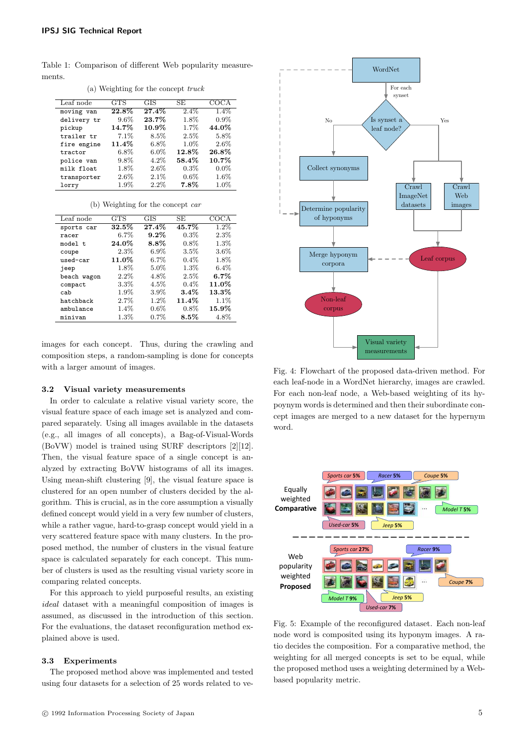Table 1: Comparison of different Web popularity measurements.

| Leaf node   | <b>GTS</b> | <b>GIS</b> | SE.      | COCA     |
|-------------|------------|------------|----------|----------|
| moving van  | $22.8\%$   | 27.4%      | $2.4\%$  | $1.4\%$  |
| delivery tr | $9.6\%$    | 23.7%      | 1.8%     | $0.9\%$  |
| pickup      | $14.7\%$   | $10.9\%$   | 1.7%     | 44.0%    |
| trailer tr  | 7.1%       | $8.5\%$    | $2.5\%$  | 5.8%     |
| fire engine | $11.4\%$   | $6.8\%$    | $1.0\%$  | 2.6%     |
| tractor     | $6.8\%$    | $6.0\%$    | $12.8\%$ | 26.8%    |
| police van  | $9.8\%$    | $4.2\%$    | 58.4%    | $10.7\%$ |
| milk float  | 1.8%       | $2.6\%$    | $0.3\%$  | $0.0\%$  |
| transporter | $2.6\%$    | 2.1%       | $0.6\%$  | $1.6\%$  |
| lorry       | $1.9\%$    | 2.2%       | $7.8\%$  | 1.0%     |

(a) Weighting for the concept truck

#### (b) Weighting for the concept car

| Leaf node   | <b>GTS</b> | GIS      | SE      | COCA     |
|-------------|------------|----------|---------|----------|
| sports car  | 32.5%      | $27.4\%$ | 45.7%   | $1.2\%$  |
| racer       | $6.7\%$    | $9.2\%$  | $0.3\%$ | 2.3%     |
| model t     | 24.0%      | $8.8\%$  | $0.8\%$ | 1.3%     |
| coupe       | 2.3%       | $6.9\%$  | 3.5%    | $3.6\%$  |
| used-car    | 11.0%      | $6.7\%$  | $0.4\%$ | 1.8%     |
| jeep        | $1.8\%$    | 5.0%     | $1.3\%$ | $6.4\%$  |
| beach wagon | $2.2\%$    | 4.8%     | 2.5%    | $6.7\%$  |
| compact     | $3.3\%$    | $4.5\%$  | $0.4\%$ | 11.0%    |
| cab         | $1.9\%$    | 3.9%     | $3.4\%$ | $13.3\%$ |
| hatchback   | 2.7%       | 1.2%     | 11.4%   | 1.1%     |
| ambulance   | $1.4\%$    | $0.6\%$  | $0.8\%$ | $15.9\%$ |
| minivan     | $1.3\%$    | 0.7%     | $8.5\%$ | $4.8\%$  |

images for each concept. Thus, during the crawling and composition steps, a random-sampling is done for concepts with a larger amount of images.

#### 3.2 Visual variety measurements

In order to calculate a relative visual variety score, the visual feature space of each image set is analyzed and compared separately. Using all images available in the datasets (e.g., all images of all concepts), a Bag-of-Visual-Words (BoVW) model is trained using SURF descriptors [2][12]. Then, the visual feature space of a single concept is analyzed by extracting BoVW histograms of all its images. Using mean-shift clustering [9], the visual feature space is clustered for an open number of clusters decided by the algorithm. This is crucial, as in the core assumption a visually defined concept would yield in a very few number of clusters, while a rather vague, hard-to-grasp concept would yield in a very scattered feature space with many clusters. In the proposed method, the number of clusters in the visual feature space is calculated separately for each concept. This number of clusters is used as the resulting visual variety score in comparing related concepts.

For this approach to yield purposeful results, an existing ideal dataset with a meaningful composition of images is assumed, as discussed in the introduction of this section. For the evaluations, the dataset reconfiguration method explained above is used.

#### 3.3 Experiments

The proposed method above was implemented and tested using four datasets for a selection of 25 words related to ve-



Fig. 4: Flowchart of the proposed data-driven method. For each leaf-node in a WordNet hierarchy, images are crawled. For each non-leaf node, a Web-based weighting of its hypoynym words is determined and then their subordinate concept images are merged to a new dataset for the hypernym word.



Fig. 5: Example of the reconfigured dataset. Each non-leaf node word is composited using its hyponym images. A ratio decides the composition. For a comparative method, the weighting for all merged concepts is set to be equal, while the proposed method uses a weighting determined by a Webbased popularity metric.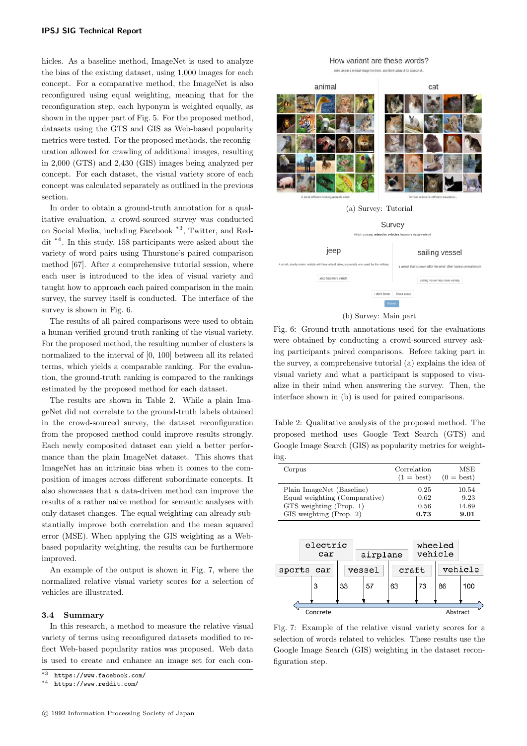hicles. As a baseline method, ImageNet is used to analyze the bias of the existing dataset, using 1,000 images for each concept. For a comparative method, the ImageNet is also reconfigured using equal weighting, meaning that for the reconfiguration step, each hyponym is weighted equally, as shown in the upper part of Fig. 5. For the proposed method, datasets using the GTS and GIS as Web-based popularity metrics were tested. For the proposed methods, the reconfiguration allowed for crawling of additional images, resulting in 2,000 (GTS) and 2,430 (GIS) images being analyzed per concept. For each dataset, the visual variety score of each concept was calculated separately as outlined in the previous section.

In order to obtain a ground-truth annotation for a qualitative evaluation, a crowd-sourced survey was conducted on Social Media, including Facebook \*3 , Twitter, and Reddit \*4 . In this study, 158 participants were asked about the variety of word pairs using Thurstone's paired comparison method [67]. After a comprehensive tutorial session, where each user is introduced to the idea of visual variety and taught how to approach each paired comparison in the main survey, the survey itself is conducted. The interface of the survey is shown in Fig. 6.

The results of all paired comparisons were used to obtain a human-verified ground-truth ranking of the visual variety. For the proposed method, the resulting number of clusters is normalized to the interval of [0, 100] between all its related terms, which yields a comparable ranking. For the evaluation, the ground-truth ranking is compared to the rankings estimated by the proposed method for each dataset.

The results are shown in Table 2. While a plain ImageNet did not correlate to the ground-truth labels obtained in the crowd-sourced survey, the dataset reconfiguration from the proposed method could improve results strongly. Each newly composited dataset can yield a better performance than the plain ImageNet dataset. This shows that ImageNet has an intrinsic bias when it comes to the composition of images across different subordinate concepts. It also showcases that a data-driven method can improve the results of a rather naive method for semantic analyses with only dataset changes. The equal weighting can already substantially improve both correlation and the mean squared error (MSE). When applying the GIS weighting as a Webbased popularity weighting, the results can be furthermore improved.

An example of the output is shown in Fig. 7, where the normalized relative visual variety scores for a selection of vehicles are illustrated.

## 3.4 Summary

In this research, a method to measure the relative visual variety of terms using reconfigured datasets modified to reflect Web-based popularity ratios was proposed. Web data is used to create and enhance an image set for each con-

# How variant are these words?



(b) Survey: Main part

Fig. 6: Ground-truth annotations used for the evaluations were obtained by conducting a crowd-sourced survey asking participants paired comparisons. Before taking part in the survey, a comprehensive tutorial (a) explains the idea of visual variety and what a participant is supposed to visualize in their mind when answering the survey. Then, the interface shown in (b) is used for paired comparisons.

Table 2: Qualitative analysis of the proposed method. The proposed method uses Google Text Search (GTS) and Google Image Search (GIS) as popularity metrics for weighting.

| Corpus                        | Correlation<br>$(1 = best)$ | MSE<br>$(0 = best)$ |
|-------------------------------|-----------------------------|---------------------|
| Plain ImageNet (Baseline)     | 0.25                        | 10.54               |
| Equal weighting (Comparative) | 0.62                        | 9.23                |
| $GTS$ weighting (Prop. 1)     | 0.56                        | 14.89               |
| GIS weighting (Prop. 2)       | 0.73                        | 9.01                |



Fig. 7: Example of the relative visual variety scores for a selection of words related to vehicles. These results use the Google Image Search (GIS) weighting in the dataset reconfiguration step.

 $*\overline{3}$  https://www.facebook.com/

https://www.reddit.com/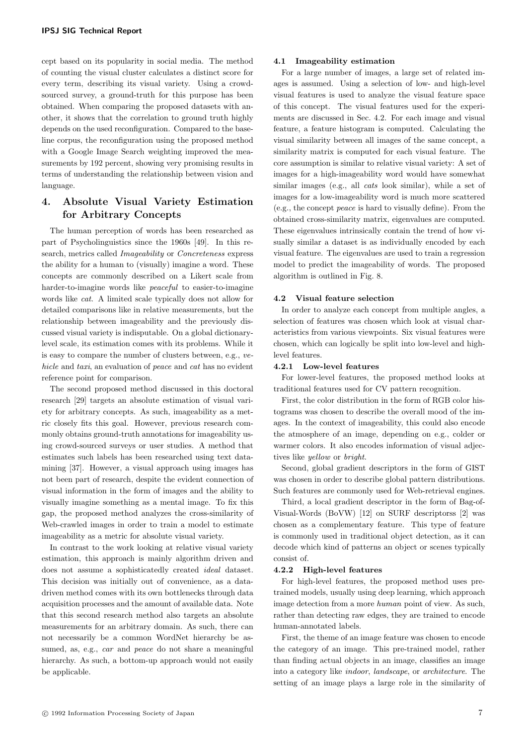cept based on its popularity in social media. The method of counting the visual cluster calculates a distinct score for every term, describing its visual variety. Using a crowdsourced survey, a ground-truth for this purpose has been obtained. When comparing the proposed datasets with another, it shows that the correlation to ground truth highly depends on the used reconfiguration. Compared to the baseline corpus, the reconfiguration using the proposed method with a Google Image Search weighting improved the measurements by 192 percent, showing very promising results in terms of understanding the relationship between vision and language.

# 4. Absolute Visual Variety Estimation for Arbitrary Concepts

The human perception of words has been researched as part of Psycholinguistics since the 1960s [49]. In this research, metrics called Imageability or Concreteness express the ability for a human to (visually) imagine a word. These concepts are commonly described on a Likert scale from harder-to-imagine words like *peaceful* to easier-to-imagine words like cat. A limited scale typically does not allow for detailed comparisons like in relative measurements, but the relationship between imageability and the previously discussed visual variety is indisputable. On a global dictionarylevel scale, its estimation comes with its problems. While it is easy to compare the number of clusters between, e.g., vehicle and taxi, an evaluation of peace and cat has no evident reference point for comparison.

The second proposed method discussed in this doctoral research [29] targets an absolute estimation of visual variety for arbitrary concepts. As such, imageability as a metric closely fits this goal. However, previous research commonly obtains ground-truth annotations for imageability using crowd-sourced surveys or user studies. A method that estimates such labels has been researched using text datamining [37]. However, a visual approach using images has not been part of research, despite the evident connection of visual information in the form of images and the ability to visually imagine something as a mental image. To fix this gap, the proposed method analyzes the cross-similarity of Web-crawled images in order to train a model to estimate imageability as a metric for absolute visual variety.

In contrast to the work looking at relative visual variety estimation, this approach is mainly algorithm driven and does not assume a sophisticatedly created ideal dataset. This decision was initially out of convenience, as a datadriven method comes with its own bottlenecks through data acquisition processes and the amount of available data. Note that this second research method also targets an absolute measurements for an arbitrary domain. As such, there can not necessarily be a common WordNet hierarchy be assumed, as, e.g., *car* and *peace* do not share a meaningful hierarchy. As such, a bottom-up approach would not easily be applicable.

#### 4.1 Imageability estimation

For a large number of images, a large set of related images is assumed. Using a selection of low- and high-level visual features is used to analyze the visual feature space of this concept. The visual features used for the experiments are discussed in Sec. 4.2. For each image and visual feature, a feature histogram is computed. Calculating the visual similarity between all images of the same concept, a similarity matrix is computed for each visual feature. The core assumption is similar to relative visual variety: A set of images for a high-imageability word would have somewhat similar images (e.g., all *cats* look similar), while a set of images for a low-imageability word is much more scattered (e.g., the concept peace is hard to visually define). From the obtained cross-similarity matrix, eigenvalues are computed. These eigenvalues intrinsically contain the trend of how visually similar a dataset is as individually encoded by each visual feature. The eigenvalues are used to train a regression model to predict the imageability of words. The proposed algorithm is outlined in Fig. 8.

#### 4.2 Visual feature selection

In order to analyze each concept from multiple angles, a selection of features was chosen which look at visual characteristics from various viewpoints. Six visual features were chosen, which can logically be split into low-level and highlevel features.

## 4.2.1 Low-level features

For lower-level features, the proposed method looks at traditional features used for CV pattern recognition.

First, the color distribution in the form of RGB color histograms was chosen to describe the overall mood of the images. In the context of imageability, this could also encode the atmosphere of an image, depending on e.g., colder or warmer colors. It also encodes information of visual adjectives like yellow or bright.

Second, global gradient descriptors in the form of GIST was chosen in order to describe global pattern distributions. Such features are commonly used for Web-retrieval engines.

Third, a local gradient descriptor in the form of Bag-of-Visual-Words (BoVW) [12] on SURF descriptorss [2] was chosen as a complementary feature. This type of feature is commonly used in traditional object detection, as it can decode which kind of patterns an object or scenes typically consist of.

#### 4.2.2 High-level features

For high-level features, the proposed method uses pretrained models, usually using deep learning, which approach image detection from a more human point of view. As such, rather than detecting raw edges, they are trained to encode human-annotated labels.

First, the theme of an image feature was chosen to encode the category of an image. This pre-trained model, rather than finding actual objects in an image, classifies an image into a category like indoor, landscape, or architecture. The setting of an image plays a large role in the similarity of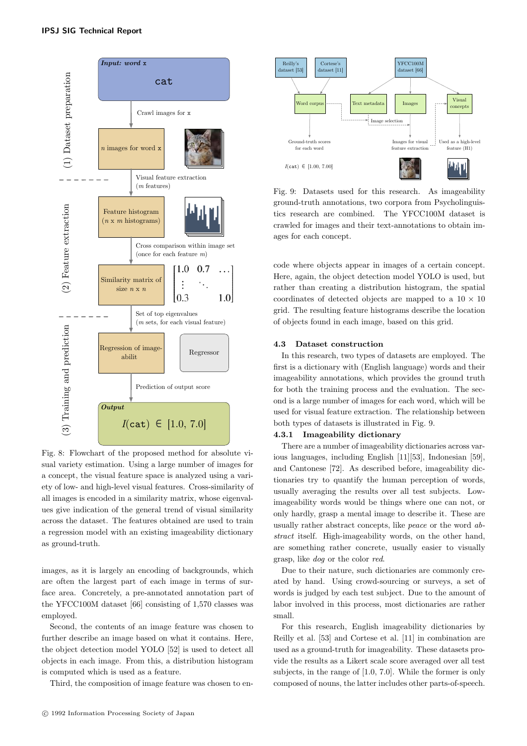

Fig. 8: Flowchart of the proposed method for absolute visual variety estimation. Using a large number of images for a concept, the visual feature space is analyzed using a variety of low- and high-level visual features. Cross-similarity of all images is encoded in a similarity matrix, whose eigenvalues give indication of the general trend of visual similarity across the dataset. The features obtained are used to train a regression model with an existing imageability dictionary as ground-truth.

images, as it is largely an encoding of backgrounds, which are often the largest part of each image in terms of surface area. Concretely, a pre-annotated annotation part of the YFCC100M dataset [66] consisting of 1,570 classes was employed.

Second, the contents of an image feature was chosen to further describe an image based on what it contains. Here, the object detection model YOLO [52] is used to detect all objects in each image. From this, a distribution histogram is computed which is used as a feature.

Third, the composition of image feature was chosen to en-



Fig. 9: Datasets used for this research. As imageability ground-truth annotations, two corpora from Psycholinguistics research are combined. The YFCC100M dataset is crawled for images and their text-annotations to obtain images for each concept.

code where objects appear in images of a certain concept. Here, again, the object detection model YOLO is used, but rather than creating a distribution histogram, the spatial coordinates of detected objects are mapped to a  $10 \times 10$ grid. The resulting feature histograms describe the location of objects found in each image, based on this grid.

## 4.3 Dataset construction

In this research, two types of datasets are employed. The first is a dictionary with (English language) words and their imageability annotations, which provides the ground truth for both the training process and the evaluation. The second is a large number of images for each word, which will be used for visual feature extraction. The relationship between both types of datasets is illustrated in Fig. 9.

#### 4.3.1 Imageability dictionary

There are a number of imageability dictionaries across various languages, including English [11][53], Indonesian [59], and Cantonese [72]. As described before, imageability dictionaries try to quantify the human perception of words, usually averaging the results over all test subjects. Lowimageability words would be things where one can not, or only hardly, grasp a mental image to describe it. These are usually rather abstract concepts, like peace or the word abstract itself. High-imageability words, on the other hand, are something rather concrete, usually easier to visually grasp, like dog or the color red.

Due to their nature, such dictionaries are commonly created by hand. Using crowd-sourcing or surveys, a set of words is judged by each test subject. Due to the amount of labor involved in this process, most dictionaries are rather small.

For this research, English imageability dictionaries by Reilly et al. [53] and Cortese et al. [11] in combination are used as a ground-truth for imageability. These datasets provide the results as a Likert scale score averaged over all test subjects, in the range of [1.0, 7.0]. While the former is only composed of nouns, the latter includes other parts-of-speech.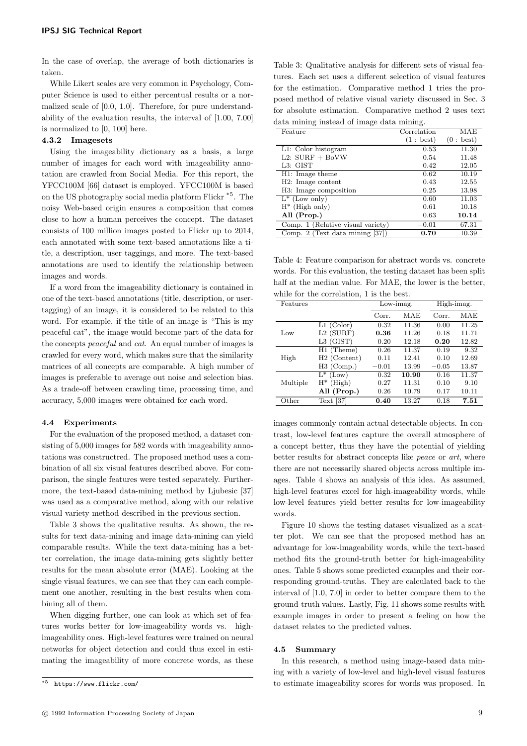In the case of overlap, the average of both dictionaries is taken.

While Likert scales are very common in Psychology, Computer Science is used to either percentual results or a normalized scale of [0.0, 1.0]. Therefore, for pure understandability of the evaluation results, the interval of [1.00, 7.00] is normalized to [0, 100] here.

## 4.3.2 Imagesets

Using the imageability dictionary as a basis, a large number of images for each word with imageability annotation are crawled from Social Media. For this report, the YFCC100M [66] dataset is employed. YFCC100M is based on the US photography social media platform Flickr \*5 . The noisy Web-based origin ensures a composition that comes close to how a human perceives the concept. The dataset consists of 100 million images posted to Flickr up to 2014, each annotated with some text-based annotations like a title, a description, user taggings, and more. The text-based annotations are used to identify the relationship between images and words.

If a word from the imageability dictionary is contained in one of the text-based annotations (title, description, or usertagging) of an image, it is considered to be related to this word. For example, if the title of an image is "This is my peaceful cat", the image would become part of the data for the concepts peaceful and cat. An equal number of images is crawled for every word, which makes sure that the similarity matrices of all concepts are comparable. A high number of images is preferable to average out noise and selection bias. As a trade-off between crawling time, processing time, and accuracy, 5,000 images were obtained for each word.

#### 4.4 Experiments

For the evaluation of the proposed method, a dataset consisting of  $5,000$  images for  $582$  words with imageability annotations was constructred. The proposed method uses a combination of all six visual features described above. For comparison, the single features were tested separately. Furthermore, the text-based data-mining method by Ljubesic [37] was used as a comparative method, along with our relative visual variety method described in the previous section.

Table 3 shows the qualitative results. As shown, the results for text data-mining and image data-mining can yield comparable results. While the text data-mining has a better correlation, the image data-mining gets slightly better results for the mean absolute error (MAE). Looking at the single visual features, we can see that they can each complement one another, resulting in the best results when combining all of them.

When digging further, one can look at which set of features works better for low-imageability words vs. highimageability ones. High-level features were trained on neural networks for object detection and could thus excel in estimating the imageability of more concrete words, as these

Table 3: Qualitative analysis for different sets of visual features. Each set uses a different selection of visual features for the estimation. Comparative method 1 tries the proposed method of relative visual variety discussed in Sec. 3 for absolute estimation. Comparative method 2 uses text data mining instead of image data mining.

| Correlation | MAE       |
|-------------|-----------|
| (1: best)   | (0: best) |
| 0.53        | 11.30     |
| 0.54        | 11.48     |
| 0.42        | 12.05     |
| 0.62        | 10.19     |
| 0.43        | 12.55     |
| 0.25        | 13.98     |
| 0.60        | 11.03     |
| 0.61        | 10.18     |
| 0.63        | 10.14     |
| $-0.01$     | 67.31     |
| 0.70        | 10.39     |
|             |           |

Table 4: Feature comparison for abstract words vs. concrete words. For this evaluation, the testing dataset has been split half at the median value. For MAE, the lower is the better, while for the correlation, 1 is the best.

| Features       |                          | Low-imag. |       | High-imag. |       |
|----------------|--------------------------|-----------|-------|------------|-------|
|                |                          | Corr.     | MAE   | Corr.      | MAE   |
|                | $L1$ (Color)             | 0.32      | 11.36 | 0.00       | 11.25 |
| Low            | $L2$ (SURF)              | 0.36      | 11.26 | 0.18       | 11.71 |
|                | L3 (GIST)                | 0.20      | 12.18 | 0.20       | 12.82 |
|                | $H1$ (Theme)             | 0.26      | 11.37 | 0.19       | 9.32  |
| High           | H <sub>2</sub> (Content) | 0.11      | 12.41 | 0.10       | 12.69 |
|                | $H3$ (Comp.)             | $-0.01$   | 13.99 | $-0.05$    | 13.87 |
| Multiple       | $L^*$ (Low)              | 0.32      | 10.90 | 0.16       | 11.37 |
|                | $H^*$ (High)             | 0.27      | 11.31 | 0.10       | 9.10  |
|                | All (Prop.)              | 0.26      | 10.79 | 0.17       | 10.11 |
| $\alpha$ other | $[37]$<br>Text           | 0.40      | 13.27 | 0.18       | 7.51  |

images commonly contain actual detectable objects. In contrast, low-level features capture the overall atmosphere of a concept better, thus they have the potential of yielding better results for abstract concepts like peace or art, where there are not necessarily shared objects across multiple images. Table 4 shows an analysis of this idea. As assumed, high-level features excel for high-imageability words, while low-level features yield better results for low-imageability words.

Figure 10 shows the testing dataset visualized as a scatter plot. We can see that the proposed method has an advantage for low-imageability words, while the text-based method fits the ground-truth better for high-imageability ones. Table 5 shows some predicted examples and their corresponding ground-truths. They are calculated back to the interval of [1.0, 7.0] in order to better compare them to the ground-truth values. Lastly, Fig. 11 shows some results with example images in order to present a feeling on how the dataset relates to the predicted values.

#### 4.5 Summary

In this research, a method using image-based data mining with a variety of low-level and high-level visual features to estimate imageability scores for words was proposed. In

<sup>\*5</sup> https://www.flickr.com/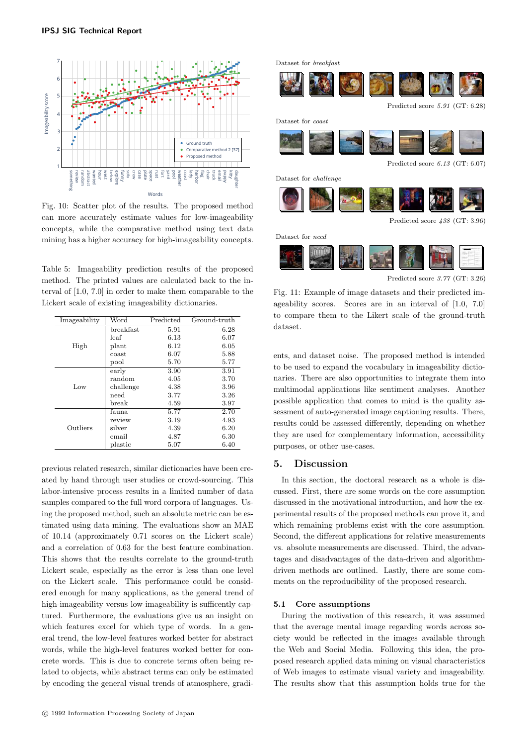

Fig. 10: Scatter plot of the results. The proposed method can more accurately estimate values for low-imageability concepts, while the comparative method using text data mining has a higher accuracy for high-imageability concepts.

Table 5: Imageability prediction results of the proposed method. The printed values are calculated back to the interval of [1.0, 7.0] in order to make them comparable to the Lickert scale of existing imageability dictionaries.

| Imageability | Word      | Predicted | Ground-truth |
|--------------|-----------|-----------|--------------|
|              | breakfast | 5.91      | 6.28         |
|              | leaf      | 6.13      | 6.07         |
| High         | plant     | 6.12      | 6.05         |
|              | coast     | 6.07      | 5.88         |
|              | pool      | 5.70      | 5.77         |
|              | early     | 3.90      | 3.91         |
|              | random    | 4.05      | 3.70         |
| Low          | challenge | 4.38      | 3.96         |
|              | need      | 3.77      | 3.26         |
|              | break     | 4.59      | 3.97         |
|              | fauna     | 5.77      | 2.70         |
|              | review    | 3.19      | 4.93         |
| Outliers     | silver    | 4.39      | 6.20         |
|              | email     | 4.87      | 6.30         |
|              | plastic   | 5.07      | 6.40         |

previous related research, similar dictionaries have been created by hand through user studies or crowd-sourcing. This labor-intensive process results in a limited number of data samples compared to the full word corpora of languages. Using the proposed method, such an absolute metric can be estimated using data mining. The evaluations show an MAE of 10.14 (approximately 0.71 scores on the Lickert scale) and a correlation of 0.63 for the best feature combination. This shows that the results correlate to the ground-truth Lickert scale, especially as the error is less than one level on the Lickert scale. This performance could be considered enough for many applications, as the general trend of high-imageability versus low-imageability is sufficently captured. Furthermore, the evaluations give us an insight on which features excel for which type of words. In a general trend, the low-level features worked better for abstract words, while the high-level features worked better for concrete words. This is due to concrete terms often being related to objects, while abstract terms can only be estimated by encoding the general visual trends of atmosphere, gradi-



Predicted score *3.77* (GT: 3.26)

Fig. 11: Example of image datasets and their predicted imageability scores. Scores are in an interval of [1.0, 7.0] to compare them to the Likert scale of the ground-truth dataset.

ents, and dataset noise. The proposed method is intended to be used to expand the vocabulary in imageability dictionaries. There are also opportunities to integrate them into multimodal applications like sentiment analyses. Another possible application that comes to mind is the quality assessment of auto-generated image captioning results. There, results could be assessed differently, depending on whether they are used for complementary information, accessibility purposes, or other use-cases.

# 5. Discussion

In this section, the doctoral research as a whole is discussed. First, there are some words on the core assumption discussed in the motivational introduction, and how the experimental results of the proposed methods can prove it, and which remaining problems exist with the core assumption. Second, the different applications for relative measurements vs. absolute measurements are discussed. Third, the advantages and disadvantages of the data-driven and algorithmdriven methods are outlined. Lastly, there are some comments on the reproducibility of the proposed research.

#### 5.1 Core assumptions

During the motivation of this research, it was assumed that the average mental image regarding words across society would be reflected in the images available through the Web and Social Media. Following this idea, the proposed research applied data mining on visual characteristics of Web images to estimate visual variety and imageability. The results show that this assumption holds true for the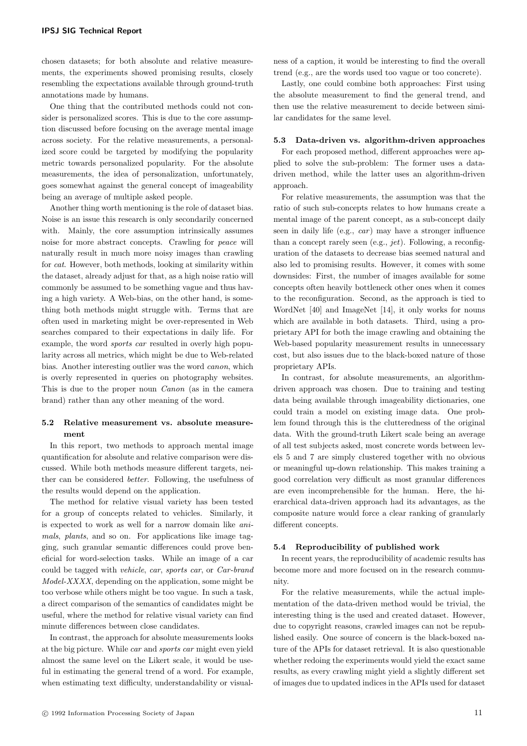chosen datasets; for both absolute and relative measurements, the experiments showed promising results, closely resembling the expectations available through ground-truth annotations made by humans.

One thing that the contributed methods could not consider is personalized scores. This is due to the core assumption discussed before focusing on the average mental image across society. For the relative measurements, a personalized score could be targeted by modifying the popularity metric towards personalized popularity. For the absolute measurements, the idea of personalization, unfortunately, goes somewhat against the general concept of imageability being an average of multiple asked people.

Another thing worth mentioning is the role of dataset bias. Noise is an issue this research is only secondarily concerned with. Mainly, the core assumption intrinsically assumes noise for more abstract concepts. Crawling for peace will naturally result in much more noisy images than crawling for cat. However, both methods, looking at similarity within the dataset, already adjust for that, as a high noise ratio will commonly be assumed to be something vague and thus having a high variety. A Web-bias, on the other hand, is something both methods might struggle with. Terms that are often used in marketing might be over-represented in Web searches compared to their expectations in daily life. For example, the word *sports car* resulted in overly high popularity across all metrics, which might be due to Web-related bias. Another interesting outlier was the word canon, which is overly represented in queries on photography websites. This is due to the proper noun Canon (as in the camera brand) rather than any other meaning of the word.

# 5.2 Relative measurement vs. absolute measurement

In this report, two methods to approach mental image quantification for absolute and relative comparison were discussed. While both methods measure different targets, neither can be considered better. Following, the usefulness of the results would depend on the application.

The method for relative visual variety has been tested for a group of concepts related to vehicles. Similarly, it is expected to work as well for a narrow domain like animals, plants, and so on. For applications like image tagging, such granular semantic differences could prove beneficial for word-selection tasks. While an image of a car could be tagged with vehicle, car, sports car, or Car-brand Model-XXXX, depending on the application, some might be too verbose while others might be too vague. In such a task, a direct comparison of the semantics of candidates might be useful, where the method for relative visual variety can find minute differences between close candidates.

In contrast, the approach for absolute measurements looks at the big picture. While car and sports car might even yield almost the same level on the Likert scale, it would be useful in estimating the general trend of a word. For example, when estimating text difficulty, understandability or visualness of a caption, it would be interesting to find the overall trend (e.g., are the words used too vague or too concrete).

Lastly, one could combine both approaches: First using the absolute measurement to find the general trend, and then use the relative measurement to decide between similar candidates for the same level.

# 5.3 Data-driven vs. algorithm-driven approaches

For each proposed method, different approaches were applied to solve the sub-problem: The former uses a datadriven method, while the latter uses an algorithm-driven approach.

For relative measurements, the assumption was that the ratio of such sub-concepts relates to how humans create a mental image of the parent concept, as a sub-concept daily seen in daily life (e.g.,  $car$ ) may have a stronger influence than a concept rarely seen (e.g.,  $jet$ ). Following, a reconfiguration of the datasets to decrease bias seemed natural and also led to promising results. However, it comes with some downsides: First, the number of images available for some concepts often heavily bottleneck other ones when it comes to the reconfiguration. Second, as the approach is tied to WordNet [40] and ImageNet [14], it only works for nouns which are available in both datasets. Third, using a proprietary API for both the image crawling and obtaining the Web-based popularity measurement results in unnecessary cost, but also issues due to the black-boxed nature of those proprietary APIs.

In contrast, for absolute measurements, an algorithmdriven approach was chosen. Due to training and testing data being available through imageability dictionaries, one could train a model on existing image data. One problem found through this is the clutteredness of the original data. With the ground-truth Likert scale being an average of all test subjects asked, most concrete words between levels 5 and 7 are simply clustered together with no obvious or meaningful up-down relationship. This makes training a good correlation very difficult as most granular differences are even incomprehensible for the human. Here, the hierarchical data-driven approach had its advantages, as the composite nature would force a clear ranking of granularly different concepts.

#### 5.4 Reproducibility of published work

In recent years, the reproducibility of academic results has become more and more focused on in the research community.

For the relative measurements, while the actual implementation of the data-driven method would be trivial, the interesting thing is the used and created dataset. However, due to copyright reasons, crawled images can not be republished easily. One source of concern is the black-boxed nature of the APIs for dataset retrieval. It is also questionable whether redoing the experiments would yield the exact same results, as every crawling might yield a slightly different set of images due to updated indices in the APIs used for dataset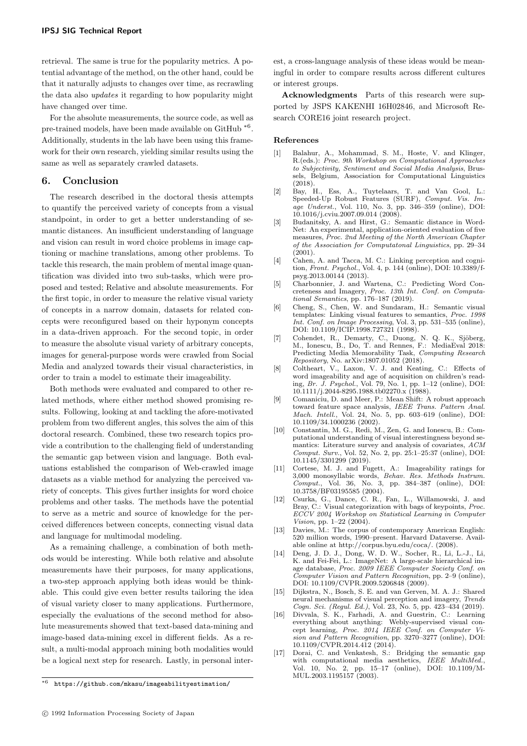retrieval. The same is true for the popularity metrics. A potential advantage of the method, on the other hand, could be that it naturally adjusts to changes over time, as recrawling the data also updates it regarding to how popularity might have changed over time.

For the absolute measurements, the source code, as well as pre-trained models, have been made available on GitHub<sup>\*6</sup>. Additionally, students in the lab have been using this framework for their own research, yielding similar results using the same as well as separately crawled datasets.

## 6. Conclusion

The research described in the doctoral thesis attempts to quantify the perceived variety of concepts from a visual standpoint, in order to get a better understanding of semantic distances. An insufficient understanding of language and vision can result in word choice problems in image captioning or machine translations, among other problems. To tackle this research, the main problem of mental image quantification was divided into two sub-tasks, which were proposed and tested; Relative and absolute measurements. For the first topic, in order to measure the relative visual variety of concepts in a narrow domain, datasets for related concepts were reconfigured based on their hyponym concepts in a data-driven approach. For the second topic, in order to measure the absolute visual variety of arbitrary concepts, images for general-purpose words were crawled from Social Media and analyzed towards their visual characteristics, in order to train a model to estimate their imageability.

Both methods were evaluated and compared to other related methods, where either method showed promising results. Following, looking at and tackling the afore-motivated problem from two different angles, this solves the aim of this doctoral research. Combined, these two research topics provide a contribution to the challenging field of understanding the semantic gap between vision and language. Both evaluations established the comparison of Web-crawled image datasets as a viable method for analyzing the perceived variety of concepts. This gives further insights for word choice problems and other tasks. The methods have the potential to serve as a metric and source of knowledge for the perceived differences between concepts, connecting visual data and language for multimodal modeling.

As a remaining challenge, a combination of both methods would be interesting. While both relative and absolute measurements have their purposes, for many applications, a two-step approach applying both ideas would be thinkable. This could give even better results tailoring the idea of visual variety closer to many applications. Furthermore, especially the evaluations of the second method for absolute measurements showed that text-based data-mining and image-based data-mining excel in different fields. As a result, a multi-modal approach mining both modalities would be a logical next step for research. Lastly, in personal interest, a cross-language analysis of these ideas would be meaningful in order to compare results across different cultures or interest groups.

Acknowledgments Parts of this research were supported by JSPS KAKENHI 16H02846, and Microsoft Research CORE16 joint research project.

#### References

- [1] Balahur, A., Mohammad, S. M., Hoste, V. and Klinger, R.(eds.): *Proc. 9th Workshop on Computational Approaches to Subjectivity, Sentiment and Social Media Analysis*, Brussels, Belgium, Association for Computational Linguistics  $(2018).$ <br>Bay, H..
- [2] Bay, H., Ess, A., Tuytelaars, T. and Van Gool, L.: Speeded-Up Robust Features (SURF), *Comput. Vis. Image Underst.*, Vol. 110, No. 3, pp. 346–359 (online), DOI: 10.1016/j.cviu.2007.09.014 (2008).
- [3] Budanitsky, A. and Hirst, G.: Semantic distance in Word-Net: An experimental, application-oriented evaluation of five measures, *Proc. 2nd Meeting of the North American Chapter of the Association for Computatonal Linguistics*, pp. 29–34 (2001).
- [4] Cahen, A. and Tacca, M. C.: Linking perception and cognition, *Front. Psychol.*, Vol. 4, p. 144 (online), DOI: 10.3389/fpsyg.2013.00144 (2013).
- [5] Charbonnier, J. and Wartena, C.: Predicting Word Concreteness and Imagery, *Proc. 13th Int. Conf. on Computational Semantics*, pp. 176–187 (2019).
- [6] Cheng, S., Chen, W. and Sundaram, H.: Semantic visual templates: Linking visual features to semantics, *Proc. 1998 Int. Conf. on Image Processing*, Vol. 3, pp. 531–535 (online), DOI: 10.1109/ICIP.1998.727321 (1998).
- [7] Cohendet, R., Demarty, C., Duong, N. Q. K., Sjöberg, M., Ionescu, B., Do, T. and Rennes, F.: MediaEval 2018: Predicting Media Memorability Task, *Computing Research Repository*, No. arXiv:1807.01052 (2018).
- [8] Coltheart, V., Laxon, V. J. and Keating, C.: Effects of word imageability and age of acquisition on children's reading, *Br. J. Psychol.*, Vol. 79, No. 1, pp. 1–12 (online), DOI: 10.1111/j.2044-8295.1988.tb02270.x (1988).
- [9] Comaniciu, D. and Meer, P.: Mean Shift: A robust approach toward feature space analysis, *IEEE Trans. Pattern Anal. Mach. Intell.*, Vol. 24, No. 5, pp. 603–619 (online), DOI: 10.1109/34.1000236 (2002).
- [10] Constantin, M. G., Redi, M., Zen, G. and Ionescu, B.: Computational understanding of visual interestingness beyond semantics: Literature survey and analysis of covariates, *ACM Comput. Surv.*, Vol. 52, No. 2, pp. 25:1–25:37 (online), DOI: 10.1145/3301299 (2019).
- [11] Cortese, M. J. and Fugett, A.: Imageability ratings for 3,000 monosyllabic words, *Behav. Res. Methods Instrum. Comput.*, Vol. 36, No. 3, pp. 384–387 (online), DOI: 10.3758/BF03195585 (2004).
- [12] Csurka, G., Dance, C. R., Fan, L., Willamowski, J. and Bray, C.: Visual categorization with bags of keypoints, *Proc. ECCV 2004 Workshop on Statistical Learning in Computer Vision*, pp. 1–22 (2004).
- [13] Davies, M.: The corpus of contemporary American English: 520 million words, 1990–present. Harvard Dataverse. Available online at http://corpus.byu.edu/coca/. (2008).
- [14] Deng, J. D. J., Dong, W. D. W., Socher, R., Li, L.-J., Li, K. and Fei-Fei, L.: ImageNet: A large-scale hierarchical image database, *Proc. 2009 IEEE Computer Society Conf. on Computer Vision and Pattern Recognition*, pp. 2–9 (online), DOI: 10.1109/CVPR.2009.5206848 (2009).
- [15] Dijkstra, N., Bosch, S. E. and van Gerven, M. A. J.: Shared neural mechanisms of visual perception and imagery, *Trends Cogn. Sci. (Regul. Ed.)*, Vol. 23, No. 5, pp. 423–434 (2019).
- [16] Divvala, S. K., Farhadi, A. and Guestrin, C.: Learning everything about anything: Webly-supervised visual concept learning, *Proc. 2014 IEEE Conf. on Computer Vision and Pattern Recognition*, pp. 3270–3277 (online), DOI: 10.1109/CVPR.2014.412 (2014).
- [17] Dorai, C. and Venkatesh, S.: Bridging the semantic gap with computational media aesthetics, Vol. 10, No. 2, pp. 15–17 (online), DOI: 10.1109/M-MUL.2003.1195157 (2003).

<sup>\*6</sup> https://github.com/mkasu/imageabilityestimation/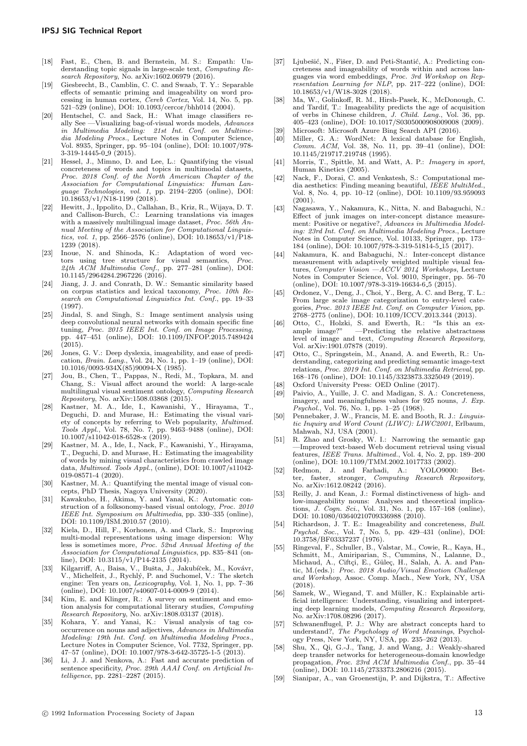- [18] Fast, E., Chen, B. and Bernstein, M. S.: Empath: Understanding topic signals in large-scale text, *Computing Research Repository*, No. arXiv:1602.06979 (2016).
- [19] Giesbrecht, B., Camblin, C. C. and Swaab, T. Y.: Separable effects of semantic priming and imageability on word processing in human cortex, *Cereb Cortex*, Vol. 14, No. 5, pp. 521–529 (online), DOI: 10.1093/cercor/bhh014 (2004).
- [20] Hentschel, C. and Sack, H.: What image classifiers really See —Visualizing bag-of-visual words models, *Advances in Multimedia Modeling: 21st Int. Conf. on Multimedia Modeling Procs.*, Lecture Notes in Computer Science, Vol. 8935, Springer, pp. 95–104 (online), DOI: 10.1007/978- 3-319-14445-0 9 (2015).
- [21] Hessel, J., Mimno, D. and Lee, L.: Quantifying the visual concreteness of words and topics in multimodal datasets, *Proc. 2018 Conf. of the North American Chapter of the Association for Computational Linguistics: Human Language Technologies, vol. 1*, pp. 2194–2205 (online), DOI: 10.18653/v1/N18-1199 (2018).
- [22] Hewitt, J., Ippolito, D., Callahan, B., Kriz, R., Wijaya, D. T. and Callison-Burch, C.: Learning translations via images with a massively multilingual image dataset, *Proc. 56th Annual Meeting of the Association for Computational Linguistics, vol. 1*, pp. 2566–2576 (online), DOI: 10.18653/v1/P18- 1239 (2018).
- [23] Inoue, N. and Shinoda, K.: Adaptation of word vectors using tree structure for visual semantics, *Proc. 24th ACM Multimedia Conf.*, pp. 277–281 (online), DOI: 10.1145/2964284.2967226 (2016).
- [24] Jiang, J. J. and Conrath, D. W.: Semantic similarity based on corpus statistics and lexical taxonomy, *Proc. 10th Research on Computational Linguistics Int. Conf.*, pp. 19–33 (1997).
- [25] Jindal, S. and Singh, S.: Image sentiment analysis using deep convolutional neural networks with domain specific fine tuning, *Proc. 2015 IEEE Int. Conf. on Image Processing*, pp. 447–451 (online), DOI: 10.1109/INFOP.2015.7489424  $(2015).$
- [26] Jones, G. V.: Deep dyslexia, imageability, and ease of predication, *Brain. Lang.*, Vol. 24, No. 1, pp. 1–19 (online), DOI: 10.1016/0093-934X(85)90094-X (1985).
- [27] Jou, B., Chen, T., Pappas, N., Redi, M., Topkara, M. and Chang, S.: Visual affect around the world: A large-scale multilingual visual sentiment ontology, *Computing Research Repository*, No. arXiv:1508.03868 (2015).
- [28] Kastner, M. A., Ide, I., Kawanishi, Y., Hirayama, T., Deguchi, D. and Murase, H.: Estimating the visual variety of concepts by referring to Web popularity, *Multimed. Tools Appl.*, Vol. 78, No. 7, pp. 9463–9488 (online), DOI: 10.1007/s11042-018-6528-x (2019).
- [29] Kastner, M. A., Ide, I., Nack, F., Kawanishi, Y., Hirayama, T., Deguchi, D. and Murase, H.: Estimating the imageability of words by mining visual characteristics from crawled image data, *Multimed. Tools Appl.*, (online), DOI: 10.1007/s11042- 019-08571-4 (2020).
- [30] Kastner, M. A.: Quantifying the mental image of visual concepts, PhD Thesis, Nagoya University (2020).
- [31] Kawakubo, H., Akima, Y. and Yanai, K.: Automatic construction of a folksonomy-based visual ontology, *Proc. 2010 IEEE Int. Symposium on Multimedia*, pp. 330–335 (online), DOI: 10.1109/ISM.2010.57 (2010).
- [32] Kiela, D., Hill, F., Korhonen, A. and Clark, S.: Improving multi-modal representations using image dispersion: Why less is sometimes more, *Proc. 52nd Annual Meeting of the Association for Computational Linguistics*, pp. 835–841 (online), DOI: 10.3115/v1/P14-2135 (2014).
- [33] Kilgarriff, A., Baisa, V., Bušta, J., Jakubíček, M., Kovávr, V., Michelfeit, J., Rychl´y, P. and Suchomel, V.: The sketch engine: Ten years on, *Lexicography*, Vol. 1, No. 1, pp. 7–36 (online), DOI: 10.1007/s40607-014-0009-9 (2014).
- [34] Kim, E. and Klinger, R.: A survey on sentiment and emotion analysis for computational literary studies, *Computing Research Repository*, No. arXiv:1808.03137 (2018).
- [35] Kohara, Y. and Yanai, K.: Visual analysis of tag cooccurrence on nouns and adjectives, *Advances in Multimedia Modeling: 19th Int. Conf. on Multimedia Modeling Procs.*, Lecture Notes in Computer Science, Vol. 7732, Springer, pp. 47–57 (online), DOI: 10.1007/978-3-642-35725-1-5 (2013).
- [36] Li, J. J. and Nenkova, A.: Fast and accurate prediction of sentence specificity, *Proc. 29th AAAI Conf. on Artificial Intelligence*, pp. 2281–2287 (2015).
- [37] Ljubešić, N., Fišer, D. and Peti-Stantić, A.: Predicting concreteness and imageability of words within and across languages via word embeddings, *Proc. 3rd Workshop on Representation Learning for NLP*, pp. 217–222 (online), DOI: 10.18653/v1/W18-3028 (2018).
- [38] Ma, W., Golinkoff, R. M., Hirsh-Pasek, K., McDonough, C. and Tardif, T.: Imageability predicts the age of acquisition of verbs in Chinese children, *J. Child. Lang.*, Vol. 36, pp. 405–423 (online), DOI: 10.1017/S0305000908009008 (2009).
- Microsoft: Microsoft Azure Bing Search API (2016).
- [40] Miller, G. A.: WordNet: A lexical database for English, *Comm. ACM*, Vol. 38, No. 11, pp. 39–41 (online), DOI: 10.1145/219717.219748 (1995).
- [41] Morris, T., Spittle, M. and Watt, A. P.: *Imagery in sport*, Human Kinetics (2005).
- [42] Nack, F., Dorai, C. and Venkatesh, S.: Computational media aesthetics: Finding meaning beautiful, *IEEE MultiMed.*, Vol. 8, No. 4, pp. 10–12 (online), DOI: 10.1109/93.959093 (2001).
- [43] Nagasawa, Y., Nakamura, K., Nitta, N. and Babaguchi, N.: Effect of junk images on inter-concept distance measurement: Positive or negative?, *Advances in Multimedia Modeling: 23rd Int. Conf. on Multimedia Modeling Procs.*, Lecture Notes in Computer Science, Vol. 10133, Springer, pp. 173– 184 (online), DOI: 10.1007/978-3-319-51814-5 15 (2017).
- [44] Nakamura, K. and Babaguchi, N.: Inter-concept distance measurement with adaptively weighted multiple visual features, *Computer Vision —ACCV 2014 Workshops*, Lecture Notes in Computer Science, Vol. 9010, Springer, pp. 56–70 (online), DOI: 10.1007/978-3-319-16634-6 5 (2015).
- [45] Ordonez, V., Deng, J., Choi, Y., Berg, A. C. and Berg, T. L.: From large scale image categorization to entry-level categories, *Proc. 2013 IEEE Int. Conf. on Computer Vision*, pp. 2768–2775 (online), DOI: 10.1109/ICCV.2013.344 (2013).
- [46] Otto, C., Holzki, S. and Ewerth, R.: "Is this an ex- $-$ Predicting the relative abstractness level of image and text, *Computing Research Repository*, Vol. arXiv:1901.07878 (2019).
- [47] Otto, C., Springstein, M., Anand, A. and Ewerth, R.: Understanding, categorizing and predicting semantic image-text relations, *Proc. 2019 Int. Conf. on Multimedia Retrieval*, pp. 168–176 (online), DOI: 10.1145/3323873.3325049 (2019).
- [48] Oxford University Press: OED Online (2017).
- Paivio, A., Yuille, J. C. and Madigan, S. A.: Concreteness, imagery, and meaningfulness values for 925 nouns, *J. Exp. Psychol.*, Vol. 76, No. 1, pp. 1–25 (1968).
- [50] Pennebaker, J. W., Francis, M. E. and Booth, R. J.: *Linguistic Inquiry and Word Count (LIWC): LIWC2001*, Erlbaum, Mahwah, NJ, USA (2001).
- [51] R. Zhao and Grosky, W. I.: Narrowing the semantic gap —Improved text-based Web document retrieval using visual features, *IEEE Trans. Multimed.*, Vol. 4, No. 2, pp. 189–200 (online), DOI: 10.1109/TMM.2002.1017733 (2002).
- [52] Redmon, J. and Farhadi, A.: YOLO9000: Bet-Computing Research Repository, No. arXiv:1612.08242 (2016).
- [53] Reilly, J. and Kean, J.: Formal distinctiveness of high- and low-imageability nouns: Analyses and theoretical implications, *J. Cogn. Sci.*, Vol. 31, No. 1, pp. 157–168 (online), DOI: 10.1080/03640210709336988 (2010).
- [54] Richardson, J. T. E.: Imageability and concreteness, *Bull. Psychol. Soc.*, Vol. 7, No. 5, pp. 429–431 (online), DOI: 10.3758/BF03337237 (1976).
- [55] Ringeval, F., Schuller, B., Valstar, M., Cowie, R., Kaya, H., Schmitt, M., Amiriparian, S., Cummins, N., Lalanne, D., Michaud, A., Ciftçi, E., Güleç, H., Salah, A. A. and Pantic, M.(eds.): *Proc. 2018 Audio/Visual Emotion Challenge and Workshop*, Assoc. Comp. Mach., New York, NY, USA (2018).
- [56] Samek, W., Wiegand, T. and Müller, K.: Explainable artificial intelligence: Understanding, visualizing and interpreting deep learning models, *Computing Research Repository*, No. arXiv:1708.08296 (2017).
- [57] Schwanenflugel, P. J.: Why are abstract concepts hard to understand?, *The Psychology of Word Meanings*, Psychology Press, New York, NY, USA, pp. 235–262 (2013).
- [58] Shu, X., Qi, G.-J., Tang, J. and Wang, J.: Weakly-shared deep transfer networks for heterogeneous-domain knowledge propagation, *Proc. 23rd ACM Multimedia Conf.*, pp. 35–44 (online), DOI: 10.1145/2733373.2806216 (2015).
- [59] Sianipar, A., van Groenestijn, P. and Dijkstra, T.: Affective